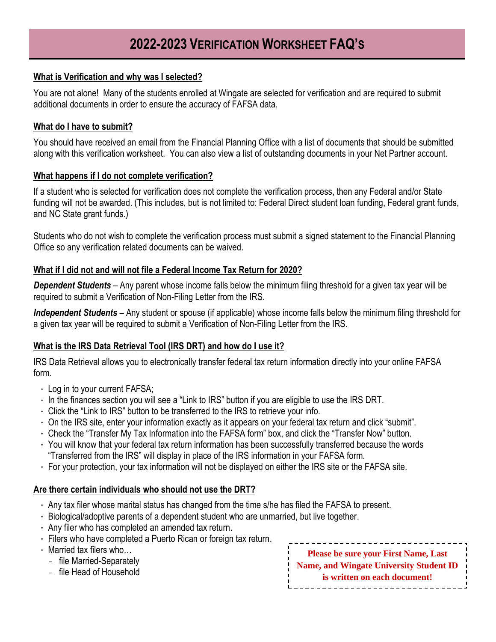# **2022-2023 VERIFICATION WORKSHEET FAQ'S**

#### **What is Verification and why was I selected?**

You are not alone! Many of the students enrolled at Wingate are selected for verification and are required to submit additional documents in order to ensure the accuracy of FAFSA data.

#### **What do I have to submit?**

You should have received an email from the Financial Planning Office with a list of documents that should be submitted along with this verification worksheet. You can also view a list of outstanding documents in your Net Partner account.

#### **What happens if I do not complete verification?**

If a student who is selected for verification does not complete the verification process, then any Federal and/or State funding will not be awarded. (This includes, but is not limited to: Federal Direct student loan funding, Federal grant funds, and NC State grant funds.)

Students who do not wish to complete the verification process must submit a signed statement to the Financial Planning Office so any verification related documents can be waived.

### **What if I did not and will not file a Federal Income Tax Return for 2020?**

*Dependent Students* – Any parent whose income falls below the minimum filing threshold for a given tax year will be required to submit a Verification of Non-Filing Letter from the IRS.

*Independent Students* – Any student or spouse (if applicable) whose income falls below the minimum filing threshold for a given tax year will be required to submit a Verification of Non-Filing Letter from the IRS.

### **What is the IRS Data Retrieval Tool (IRS DRT) and how do I use it?**

IRS Data Retrieval allows you to electronically transfer federal tax return information directly into your online FAFSA form.

- Log in to your current FAFSA;
- In the finances section you will see a "Link to IRS" button if you are eligible to use the IRS DRT.
- Click the "Link to IRS" button to be transferred to the IRS to retrieve your info.
- On the IRS site, enter your information exactly as it appears on your federal tax return and click "submit".
- Check the "Transfer My Tax Information into the FAFSA form" box, and click the "Transfer Now" button.
- You will know that your federal tax return information has been successfully transferred because the words "Transferred from the IRS" will display in place of the IRS information in your FAFSA form.
- For your protection, your tax information will not be displayed on either the IRS site or the FAFSA site.

#### **Are there certain individuals who should not use the DRT?**

- Any tax filer whose marital status has changed from the time s/he has filed the FAFSA to present.
- Biological/adoptive parents of a dependent student who are unmarried, but live together.
- Any filer who has completed an amended tax return.
- Filers who have completed a Puerto Rican or foreign tax return.
- Married tax filers who…
	- file Married-Separately
	- file Head of Household

**Please be sure your First Name, Last Name, and Wingate University Student ID is written on each document!**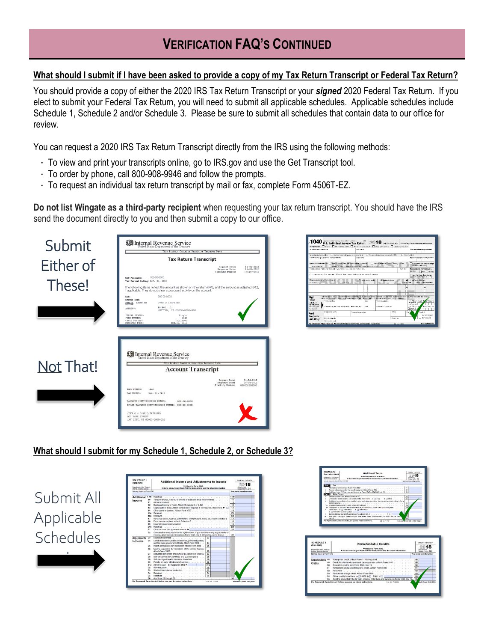# **VERIFICATION FAQ'S CONTINUED**

### **What should I submit if I have been asked to provide a copy of my Tax Return Transcript or Federal Tax Return?**

You should provide a copy of either the 2020 IRS Tax Return Transcript or your *signed* 2020 Federal Tax Return. If you elect to submit your Federal Tax Return, you will need to submit all applicable schedules. Applicable schedules include Schedule 1, Schedule 2 and/or Schedule 3. Please be sure to submit all schedules that contain data to our office for review.

You can request a 2020 IRS Tax Return Transcript directly from the IRS using the following methods:

- To view and print your transcripts online, go to IRS.gov and use the Get Transcript tool.
- To order by phone, call 800-908-9946 and follow the prompts.
- To request an individual tax return transcript by mail or fax, complete Form 4506T-EZ.

**Do not list Wingate as a third-party recipient** when requesting your tax return transcript. You should have the IRS send the document directly to you and then submit a copy to our office.





### **What should I submit for my Schedule 1, Schedule 2, or Schedule 3?**



| > Attach to Form 1040 or 1040-SR.<br><b>Department of the Treasure</b><br>> Go to www.ins.pov/form.td40 for instructions and the latest internation.<br>Internal Flevenue Service<br>determine interests may display which are when they<br>Port I<br>Tax<br>Alternative minimum tax, Attach Form 6251<br>program and company of a manufacturer and company and<br>2 Excoss advance premium fax credit repairment, Attach Form 0962<br>3 Add lines 1 and 2. Enter here and include on Form 1040 or 1040-SR, line 12b<br><b>William Other Taxes</b><br>а.<br>Unesported social security and Medicare fax from Form: a (34137 b) 3809<br>Additional tax on IRAs, other qualified retirement plans, and other tax-favored accounts. Attach Form<br>7a Household employment toxes. Attach Schedule H<br>b Repayment of trat-time homebager credit from Faxe 6405. Attach Form 5405 if required<br>$h \equiv$ From 1960<br>Tenne from a T Form 8919<br>$\mathbf{a}$<br>e il trattuttores unler cockde<br>9 Soction 965 not tax liability installment from Porm 965-A 9<br>Add lines 4 Brough 8. These are your total ether taxes, Enter here and on Form 1040 or 1040-<br>10<br>[0.015]<br>For Paperwork Reduction Act Notice, see your tax return instructions.<br>Out No. 714782 | <b>Stativian</b><br>Systeme Fo. 02<br>Your social selective excellent<br>Ŧ<br>$\overline{\phantom{a}}$<br>τ<br>٠<br>s<br>٠<br>7a<br>T <sub>0</sub><br>Silvering a Direct Hotel or 1040-078 and |
|-------------------------------------------------------------------------------------------------------------------------------------------------------------------------------------------------------------------------------------------------------------------------------------------------------------------------------------------------------------------------------------------------------------------------------------------------------------------------------------------------------------------------------------------------------------------------------------------------------------------------------------------------------------------------------------------------------------------------------------------------------------------------------------------------------------------------------------------------------------------------------------------------------------------------------------------------------------------------------------------------------------------------------------------------------------------------------------------------------------------------------------------------------------------------------------------------------------------------------------------------------------------------------|------------------------------------------------------------------------------------------------------------------------------------------------------------------------------------------------|
|                                                                                                                                                                                                                                                                                                                                                                                                                                                                                                                                                                                                                                                                                                                                                                                                                                                                                                                                                                                                                                                                                                                                                                                                                                                                               |                                                                                                                                                                                                |
|                                                                                                                                                                                                                                                                                                                                                                                                                                                                                                                                                                                                                                                                                                                                                                                                                                                                                                                                                                                                                                                                                                                                                                                                                                                                               |                                                                                                                                                                                                |
|                                                                                                                                                                                                                                                                                                                                                                                                                                                                                                                                                                                                                                                                                                                                                                                                                                                                                                                                                                                                                                                                                                                                                                                                                                                                               |                                                                                                                                                                                                |
|                                                                                                                                                                                                                                                                                                                                                                                                                                                                                                                                                                                                                                                                                                                                                                                                                                                                                                                                                                                                                                                                                                                                                                                                                                                                               |                                                                                                                                                                                                |
|                                                                                                                                                                                                                                                                                                                                                                                                                                                                                                                                                                                                                                                                                                                                                                                                                                                                                                                                                                                                                                                                                                                                                                                                                                                                               |                                                                                                                                                                                                |
|                                                                                                                                                                                                                                                                                                                                                                                                                                                                                                                                                                                                                                                                                                                                                                                                                                                                                                                                                                                                                                                                                                                                                                                                                                                                               |                                                                                                                                                                                                |
|                                                                                                                                                                                                                                                                                                                                                                                                                                                                                                                                                                                                                                                                                                                                                                                                                                                                                                                                                                                                                                                                                                                                                                                                                                                                               |                                                                                                                                                                                                |
|                                                                                                                                                                                                                                                                                                                                                                                                                                                                                                                                                                                                                                                                                                                                                                                                                                                                                                                                                                                                                                                                                                                                                                                                                                                                               |                                                                                                                                                                                                |
|                                                                                                                                                                                                                                                                                                                                                                                                                                                                                                                                                                                                                                                                                                                                                                                                                                                                                                                                                                                                                                                                                                                                                                                                                                                                               |                                                                                                                                                                                                |
|                                                                                                                                                                                                                                                                                                                                                                                                                                                                                                                                                                                                                                                                                                                                                                                                                                                                                                                                                                                                                                                                                                                                                                                                                                                                               |                                                                                                                                                                                                |
|                                                                                                                                                                                                                                                                                                                                                                                                                                                                                                                                                                                                                                                                                                                                                                                                                                                                                                                                                                                                                                                                                                                                                                                                                                                                               |                                                                                                                                                                                                |
|                                                                                                                                                                                                                                                                                                                                                                                                                                                                                                                                                                                                                                                                                                                                                                                                                                                                                                                                                                                                                                                                                                                                                                                                                                                                               |                                                                                                                                                                                                |
|                                                                                                                                                                                                                                                                                                                                                                                                                                                                                                                                                                                                                                                                                                                                                                                                                                                                                                                                                                                                                                                                                                                                                                                                                                                                               |                                                                                                                                                                                                |
|                                                                                                                                                                                                                                                                                                                                                                                                                                                                                                                                                                                                                                                                                                                                                                                                                                                                                                                                                                                                                                                                                                                                                                                                                                                                               |                                                                                                                                                                                                |
|                                                                                                                                                                                                                                                                                                                                                                                                                                                                                                                                                                                                                                                                                                                                                                                                                                                                                                                                                                                                                                                                                                                                                                                                                                                                               |                                                                                                                                                                                                |
|                                                                                                                                                                                                                                                                                                                                                                                                                                                                                                                                                                                                                                                                                                                                                                                                                                                                                                                                                                                                                                                                                                                                                                                                                                                                               |                                                                                                                                                                                                |
| <b>SCHEDULE 3</b><br><b>Nonrefundable Credits</b>                                                                                                                                                                                                                                                                                                                                                                                                                                                                                                                                                                                                                                                                                                                                                                                                                                                                                                                                                                                                                                                                                                                                                                                                                             | CMB No. 1545-0074                                                                                                                                                                              |
| (Form 1040)                                                                                                                                                                                                                                                                                                                                                                                                                                                                                                                                                                                                                                                                                                                                                                                                                                                                                                                                                                                                                                                                                                                                                                                                                                                                   |                                                                                                                                                                                                |
| Attach to Form 1040.<br>Deportment of the Treasury<br>Go to www.irs.gov/Form1040 for instructions and the latest information.<br>Internal Revenue Service                                                                                                                                                                                                                                                                                                                                                                                                                                                                                                                                                                                                                                                                                                                                                                                                                                                                                                                                                                                                                                                                                                                     | Amschonan<br>Sequence No. 03                                                                                                                                                                   |
| Namesi shown on Form 1040                                                                                                                                                                                                                                                                                                                                                                                                                                                                                                                                                                                                                                                                                                                                                                                                                                                                                                                                                                                                                                                                                                                                                                                                                                                     | Your social security number                                                                                                                                                                    |
| Nonrefundable<br>Foreign tax credit. Attach Form 1116 if required<br>48                                                                                                                                                                                                                                                                                                                                                                                                                                                                                                                                                                                                                                                                                                                                                                                                                                                                                                                                                                                                                                                                                                                                                                                                       | 48                                                                                                                                                                                             |
| Credit for child and dependent care expenses. Attach Form 2441<br>49<br>Credits                                                                                                                                                                                                                                                                                                                                                                                                                                                                                                                                                                                                                                                                                                                                                                                                                                                                                                                                                                                                                                                                                                                                                                                               | 49                                                                                                                                                                                             |
| <b>RA</b><br>Education credits from Form 8863, line 19                                                                                                                                                                                                                                                                                                                                                                                                                                                                                                                                                                                                                                                                                                                                                                                                                                                                                                                                                                                                                                                                                                                                                                                                                        | fio                                                                                                                                                                                            |
| Retirement savings contributions credit. Attach Form 8880<br>64                                                                                                                                                                                                                                                                                                                                                                                                                                                                                                                                                                                                                                                                                                                                                                                                                                                                                                                                                                                                                                                                                                                                                                                                               | 51                                                                                                                                                                                             |
| 52                                                                                                                                                                                                                                                                                                                                                                                                                                                                                                                                                                                                                                                                                                                                                                                                                                                                                                                                                                                                                                                                                                                                                                                                                                                                            | 52                                                                                                                                                                                             |
| 53<br>Residential energy credit. Attach Form 5695                                                                                                                                                                                                                                                                                                                                                                                                                                                                                                                                                                                                                                                                                                                                                                                                                                                                                                                                                                                                                                                                                                                                                                                                                             | 65                                                                                                                                                                                             |
| 54<br>Other credits from Form a [3 3809 b [3] 8801 c [3]                                                                                                                                                                                                                                                                                                                                                                                                                                                                                                                                                                                                                                                                                                                                                                                                                                                                                                                                                                                                                                                                                                                                                                                                                      | 64                                                                                                                                                                                             |
| 55<br>Add the amounts in the far right column. Enter here and include on Form 1040, line 12,                                                                                                                                                                                                                                                                                                                                                                                                                                                                                                                                                                                                                                                                                                                                                                                                                                                                                                                                                                                                                                                                                                                                                                                  | 65                                                                                                                                                                                             |
| For Paperwork Reduction Act Notice, see your tax return instructions.<br>Cat. No. 714809                                                                                                                                                                                                                                                                                                                                                                                                                                                                                                                                                                                                                                                                                                                                                                                                                                                                                                                                                                                                                                                                                                                                                                                      | de 3 (Form 1040) 2018                                                                                                                                                                          |
|                                                                                                                                                                                                                                                                                                                                                                                                                                                                                                                                                                                                                                                                                                                                                                                                                                                                                                                                                                                                                                                                                                                                                                                                                                                                               |                                                                                                                                                                                                |
|                                                                                                                                                                                                                                                                                                                                                                                                                                                                                                                                                                                                                                                                                                                                                                                                                                                                                                                                                                                                                                                                                                                                                                                                                                                                               |                                                                                                                                                                                                |
|                                                                                                                                                                                                                                                                                                                                                                                                                                                                                                                                                                                                                                                                                                                                                                                                                                                                                                                                                                                                                                                                                                                                                                                                                                                                               |                                                                                                                                                                                                |
|                                                                                                                                                                                                                                                                                                                                                                                                                                                                                                                                                                                                                                                                                                                                                                                                                                                                                                                                                                                                                                                                                                                                                                                                                                                                               |                                                                                                                                                                                                |
|                                                                                                                                                                                                                                                                                                                                                                                                                                                                                                                                                                                                                                                                                                                                                                                                                                                                                                                                                                                                                                                                                                                                                                                                                                                                               |                                                                                                                                                                                                |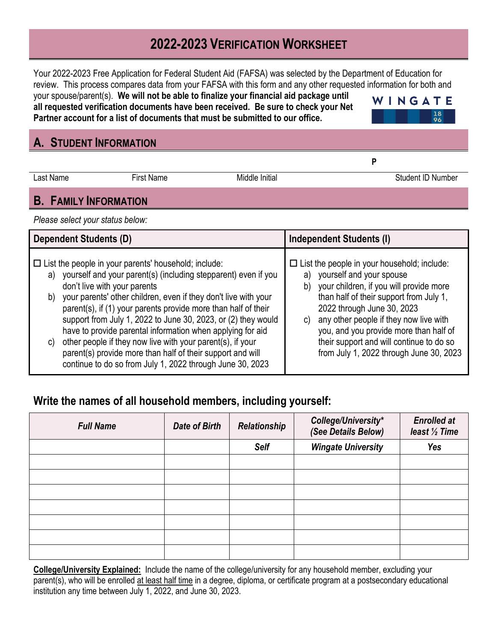# **2022-2023 VERIFICATION WORKSHEET**

Your 2022-2023 Free Application for Federal Student Aid (FAFSA) was selected by the Department of Education for review. This process compares data from your FAFSA with this form and any other requested information for both and

your spouse/parent(s). **We will not be able to finalize your financial aid package until all requested verification documents have been received. Be sure to check your Net Partner account for a list of documents that must be submitted to our office.** 



**P** 

## **A. STUDENT INFORMATION**

Last Name First Name Middle Initial Student ID Number

## **B. FAMILY INFORMATION**

*Please select your status below:*

| <b>Dependent Students (D)</b>                                                                                                                                                                                                                                                                                                                                                                                                                                                                                                                                                                                                          | Independent Students (I)                                                                                                                                                                                                                                                                                                                                                                        |
|----------------------------------------------------------------------------------------------------------------------------------------------------------------------------------------------------------------------------------------------------------------------------------------------------------------------------------------------------------------------------------------------------------------------------------------------------------------------------------------------------------------------------------------------------------------------------------------------------------------------------------------|-------------------------------------------------------------------------------------------------------------------------------------------------------------------------------------------------------------------------------------------------------------------------------------------------------------------------------------------------------------------------------------------------|
| $\Box$ List the people in your parents' household; include:<br>yourself and your parent(s) (including stepparent) even if you<br>a)<br>don't live with your parents<br>b) your parents' other children, even if they don't live with your<br>parent(s), if (1) your parents provide more than half of their<br>support from July 1, 2022 to June 30, 2023, or (2) they would<br>have to provide parental information when applying for aid<br>c) other people if they now live with your parent(s), if your<br>parent(s) provide more than half of their support and will<br>continue to do so from July 1, 2022 through June 30, 2023 | $\Box$ List the people in your household; include:<br>yourself and your spouse<br>a)<br>your children, if you will provide more<br>b)<br>than half of their support from July 1,<br>2022 through June 30, 2023<br>any other people if they now live with<br>C)<br>you, and you provide more than half of<br>their support and will continue to do so<br>from July 1, 2022 through June 30, 2023 |

## **Write the names of all household members, including yourself:**

| <b>Full Name</b> | Date of Birth | <b>Relationship</b> | College/University*<br>(See Details Below) | <b>Enrolled at</b><br>least 1/2 Time |
|------------------|---------------|---------------------|--------------------------------------------|--------------------------------------|
|                  |               | <b>Self</b>         | <b>Wingate University</b>                  | Yes                                  |
|                  |               |                     |                                            |                                      |
|                  |               |                     |                                            |                                      |
|                  |               |                     |                                            |                                      |
|                  |               |                     |                                            |                                      |
|                  |               |                     |                                            |                                      |
|                  |               |                     |                                            |                                      |
|                  |               |                     |                                            |                                      |

**College/University Explained:** Include the name of the college/university for any household member, excluding your parent(s), who will be enrolled at least half time in a degree, diploma, or certificate program at a postsecondary educational institution any time between July 1, 2022, and June 30, 2023.